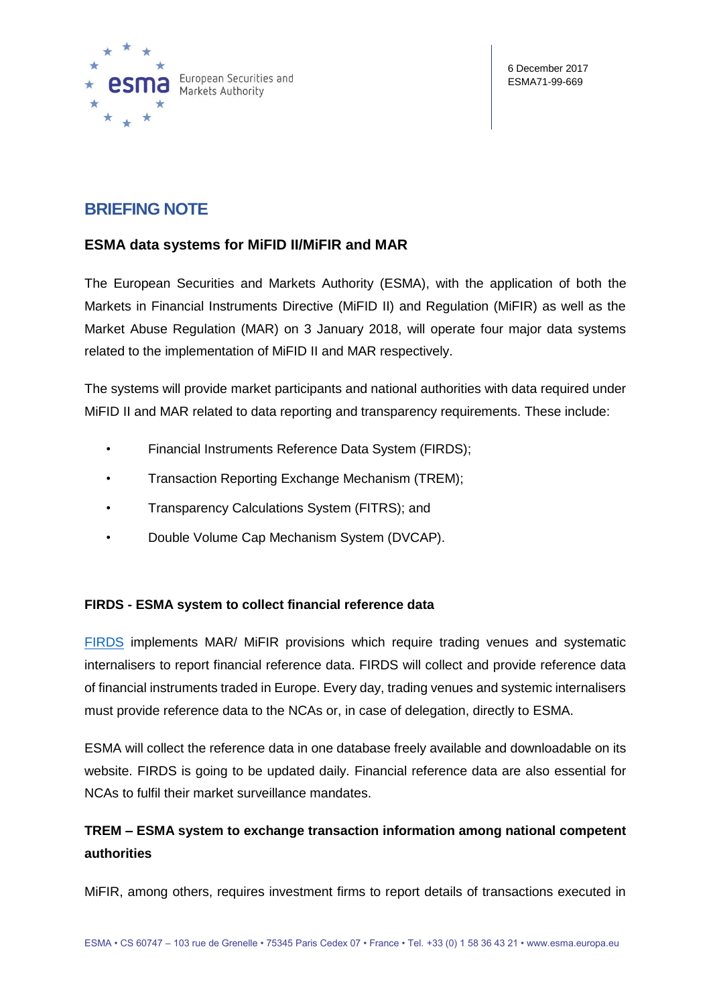

# **BRIEFING NOTE**

### **ESMA data systems for MiFID II/MiFIR and MAR**

The European Securities and Markets Authority (ESMA), with the application of both the Markets in Financial Instruments Directive (MiFID II) and Regulation (MiFIR) as well as the Market Abuse Regulation (MAR) on 3 January 2018, will operate four major data systems related to the implementation of MiFID II and MAR respectively.

The systems will provide market participants and national authorities with data required under MiFID II and MAR related to data reporting and transparency requirements. These include:

- Financial Instruments Reference Data System (FIRDS);
- Transaction Reporting Exchange Mechanism (TREM);
- Transparency Calculations System (FITRS); and
- Double Volume Cap Mechanism System (DVCAP).

### **FIRDS - ESMA system to collect financial reference data**

[FIRDS](https://registers.esma.europa.eu/publication/searchRegister?core=esma_registers_firds) implements MAR/ MiFIR provisions which require trading venues and systematic internalisers to report financial reference data. FIRDS will collect and provide reference data of financial instruments traded in Europe. Every day, trading venues and systemic internalisers must provide reference data to the NCAs or, in case of delegation, directly to ESMA.

ESMA will collect the reference data in one database freely available and downloadable on its website. FIRDS is going to be updated daily. Financial reference data are also essential for NCAs to fulfil their market surveillance mandates.

## **TREM – ESMA system to exchange transaction information among national competent authorities**

MiFIR, among others, requires investment firms to report details of transactions executed in